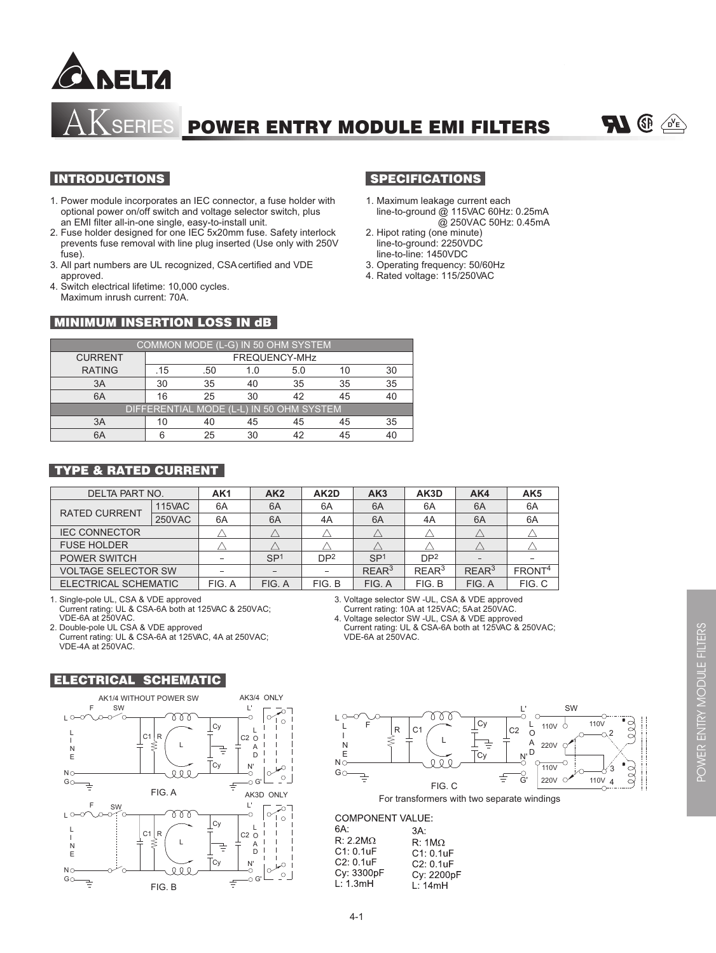

SERIES POWER ENTRY MODULE EMI FILTERS



### INTRODUCTIONS

- 1. Power module incorporates an IEC connector, a fuse holder with optional power on/off switch and voltage selector switch, plus an EMI filter all-in-one single, easy-to-install unit.
- 2. Fuse holder designed for one IEC 5x20mm fuse. Safety interlock prevents fuse removal with line plug inserted (Use only with 250V fuse).
- 3. All part numbers are UL recognized, CSA certified and VDE approved.
- 4. Switch electrical lifetime: 10,000 cycles. Maximum inrush current: 70A.

## **MINIMUM INSERTION LOSS IN dB**

# SPECIFICATIONS

- 1. Maximum leakage current each line-to-ground @ 115VAC 60Hz: 0.25mA @ 250VAC 50Hz: 0.45mA
- 2. Hipot rating (one minute) line-to-ground: 2250VDC line-to-line: 1450VDC
- 3. Operating frequency: 50/60Hz
- 4. Rated voltage: 115/250VAC

| COMMON MODE (L-G) IN 50 OHM SYSTEM       |               |     |    |     |    |    |
|------------------------------------------|---------------|-----|----|-----|----|----|
| <b>CURRENT</b>                           | FREQUENCY-MHz |     |    |     |    |    |
| <b>RATING</b>                            | .15           | .50 |    | 5.0 |    | 30 |
| ЗA                                       | 30            | 35  |    | 35  | 35 | 35 |
| 6A                                       | 16            | 25  | ß۲ | ハつ  | 45 | 40 |
| DIFFERENTIAL MODE (L-L) IN 50 OHM SYSTEM |               |     |    |     |    |    |
| ЗA                                       |               | 40  | 45 | 45  | 45 | 35 |
| 6А                                       |               | 25  |    |     |    | 40 |

### TYPE & RATED CURRENT

| DELTA PART NO.              |               | AK <sub>1</sub> | AK2             | AK2D            | AK3             | AK3D              | AK4      | AK <sub>5</sub>    |
|-----------------------------|---------------|-----------------|-----------------|-----------------|-----------------|-------------------|----------|--------------------|
| <b>RATED CURRENT</b>        | <b>115VAC</b> | 6A              | 6A              | 6A              | 6A              | 6A                | 6A       | 6A                 |
|                             | <b>250VAC</b> | 6A              | 6A              | 4A              | 6A              | 4A                | 6A       | 6A                 |
| <b>IEC CONNECTOR</b>        |               |                 |                 |                 |                 |                   |          |                    |
| <b>FUSE HOLDER</b>          |               |                 |                 |                 |                 |                   |          |                    |
| POWER SWITCH                |               |                 | SP <sub>1</sub> | DP <sup>2</sup> | SP <sub>1</sub> | DP <sup>2</sup>   |          |                    |
| <b>VOLTAGE SELECTOR SW</b>  |               |                 |                 |                 | $RFAR^3$        | RFAR <sup>3</sup> | $RFAR^3$ | FRONT <sup>4</sup> |
| <b>ELECTRICAL SCHEMATIC</b> |               | FIG. A          | FIG. A          | FIG. B          | FIG. A          | FIG. B            | FIG. A   | FIG. C             |

1. Single-pole UL, CSA & VDE approved Current rating: UL & CSA-6A both at 125VAC & 250VAC; VDE-6A at 250VAC.

2. Double-pole UL CSA & VDE approved

 Current rating: UL & CSA-6A at 125VAC, 4A at 250VAC; VDE-4A at 250VAC.

## 3. Voltage selector SW -UL, CSA & VDE approved

Current rating: 10A at 125VAC; 5A at 250VAC.

4. Voltage selector SW -UL, CSA & VDE approved Current rating: UL & CSA-6A both at 125VAC & 250VAC; VDE-6A at 250VAC.





 $\frac{L}{2}$  SW  $L^{\circ}$ 77 Ŏ  $000$  $|c_{y}$ L  $110V$ 110V  $\circ$  $\mathbf{L}$  $\Box$  $C<sub>1</sub>$ C2 O 2 I ₹ L 같 A N 220V E D N' َc٠  $N\overline{O}$ O 110V 3  $GO$  $\overline{G}$  $00($  $\equiv$ ŧ  $220V$   $O$ 110V 4 FIG. C

For transformers with two separate windings

#### **COMPONENT VALUE:**

| 6A:<br>$3A$ :<br>$R: 2.2M\Omega$<br>C1: 0.1uF<br>$C2: 0.1$ u $F$<br>Cy: 3300pF<br>L: 1.3mH | $R: 1M\Omega$<br>$C1: 0.1$ u $F$<br>C2: 0.1uF<br>Cy: 2200pF<br>L: 14mH |
|--------------------------------------------------------------------------------------------|------------------------------------------------------------------------|
|--------------------------------------------------------------------------------------------|------------------------------------------------------------------------|